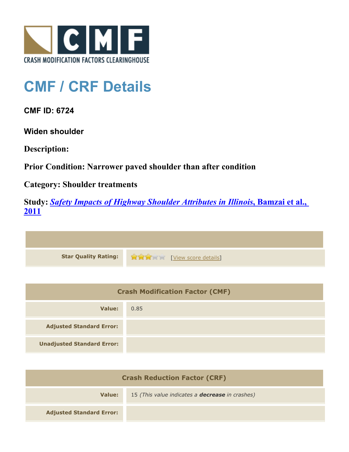

## **CMF / CRF Details**

**CMF ID: 6724**

**Widen shoulder**

**Description:** 

**Prior Condition: Narrower paved shoulder than after condition**

**Category: Shoulder treatments**

**Study:** *[Safety Impacts of Highway Shoulder Attributes in Illinois](http://www.cmfclearinghouse.org/study_detail.cfm?stid=404)***[, Bamzai et al.,](http://www.cmfclearinghouse.org/study_detail.cfm?stid=404) [2011](http://www.cmfclearinghouse.org/study_detail.cfm?stid=404)**

| Star Quality Rating: 1999 [View score details] |
|------------------------------------------------|

| <b>Crash Modification Factor (CMF)</b> |      |
|----------------------------------------|------|
| Value:                                 | 0.85 |
| <b>Adjusted Standard Error:</b>        |      |
| <b>Unadjusted Standard Error:</b>      |      |

| <b>Crash Reduction Factor (CRF)</b> |                                                        |
|-------------------------------------|--------------------------------------------------------|
| Value:                              | 15 (This value indicates a <b>decrease</b> in crashes) |
| <b>Adjusted Standard Error:</b>     |                                                        |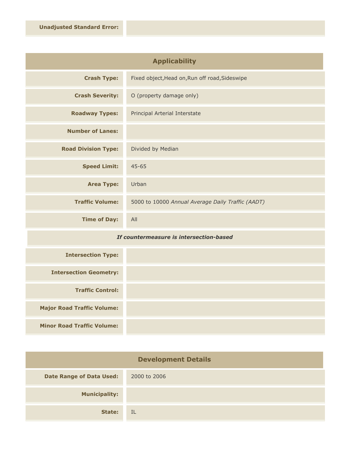| <b>Applicability</b>       |                                                   |
|----------------------------|---------------------------------------------------|
| <b>Crash Type:</b>         | Fixed object, Head on, Run off road, Sideswipe    |
| <b>Crash Severity:</b>     | O (property damage only)                          |
| <b>Roadway Types:</b>      | Principal Arterial Interstate                     |
| <b>Number of Lanes:</b>    |                                                   |
| <b>Road Division Type:</b> | Divided by Median                                 |
| <b>Speed Limit:</b>        | $45 - 65$                                         |
| <b>Area Type:</b>          | Urban                                             |
| <b>Traffic Volume:</b>     | 5000 to 10000 Annual Average Daily Traffic (AADT) |
| <b>Time of Day:</b>        | All                                               |

## *If countermeasure is intersection-based*

| <b>Intersection Type:</b>         |  |
|-----------------------------------|--|
| <b>Intersection Geometry:</b>     |  |
| <b>Traffic Control:</b>           |  |
| <b>Major Road Traffic Volume:</b> |  |
| <b>Minor Road Traffic Volume:</b> |  |

| <b>Development Details</b>      |              |
|---------------------------------|--------------|
| <b>Date Range of Data Used:</b> | 2000 to 2006 |
| <b>Municipality:</b>            |              |
| State:                          | IL           |